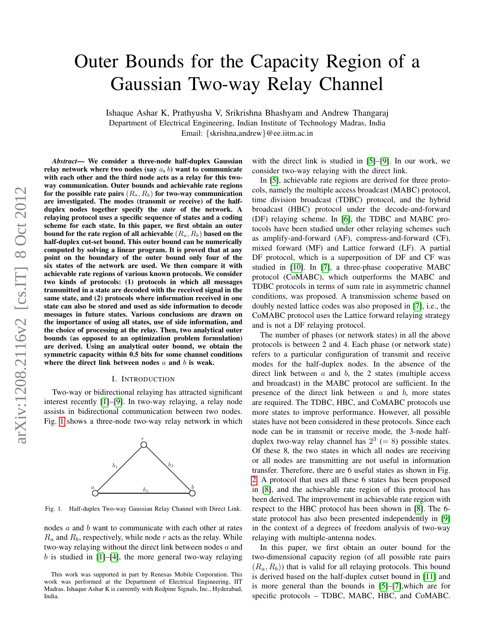# Outer Bounds for the Capacity Region of a Gaussian Two-way Relay Channel

Ishaque Ashar K, Prathyusha V, Srikrishna Bhashyam and Andrew Thangaraj Department of Electrical Engineering, Indian Institute of Technology Madras, India Email: {skrishna,andrew}@ee.iitm.ac.in

*Abstract*— We consider a three-node half-duplex Gaussian relay network where two nodes (say  $a, b$ ) want to communicate with each other and the third node acts as a relay for this twoway communication. Outer bounds and achievable rate regions for the possible rate pairs  $(R_a, R_b)$  for two-way communication are investigated. The modes (transmit or receive) of the halfduplex nodes together specify the *state* of the network. A relaying protocol uses a specific sequence of states and a coding scheme for each state. In this paper, we first obtain an outer bound for the rate region of all achievable  $(R_a, R_b)$  based on the half-duplex cut-set bound. This outer bound can be numerically computed by solving a linear program. It is proved that at any point on the boundary of the outer bound only four of the six states of the network are used. We then compare it with achievable rate regions of various known protocols. We consider two kinds of protocols: (1) protocols in which all messages transmitted in a state are decoded with the received signal in the same state, and (2) protocols where information received in one state can also be stored and used as side information to decode messages in future states. Various conclusions are drawn on the importance of using all states, use of side information, and the choice of processing at the relay. Then, two analytical outer bounds (as opposed to an optimization problem formulation) are derived. Using an analytical outer bound, we obtain the symmetric capacity within 0.5 bits for some channel conditions where the direct link between nodes  $a$  and  $b$  is weak.

#### I. INTRODUCTION

Two-way or bidirectional relaying has attracted significant interest recently [\[1\]](#page-7-0)–[\[9\]](#page-7-1). In two-way relaying, a relay node assists in bidirectional communication between two nodes. Fig. [1](#page-0-0) shows a three-node two-way relay network in which



<span id="page-0-0"></span>Fig. 1. Half-duplex Two-way Gaussian Relay Channel with Direct Link.

nodes  $a$  and  $b$  want to communicate with each other at rates  $R_a$  and  $R_b$ , respectively, while node r acts as the relay. While two-way relaying without the direct link between nodes  $a$  and b is studied in  $[1]-[4]$  $[1]-[4]$  $[1]-[4]$ , the more general two-way relaying

with the direct link is studied in [\[5\]](#page-7-3)–[\[9\]](#page-7-1). In our work, we consider two-way relaying with the direct link.

In [\[5\]](#page-7-3), achievable rate regions are derived for three protocols, namely the multiple access broadcast (MABC) protocol, time division broadcast (TDBC) protocol, and the hybrid broadcast (HBC) protocol under the decode-and-forward (DF) relaying scheme. In [\[6\]](#page-7-4), the TDBC and MABC protocols have been studied under other relaying schemes such as amplify-and-forward (AF), compress-and-forward (CF), mixed forward (MF) and Lattice forward (LF). A partial DF protocol, which is a superposition of DF and CF was studied in [\[10\]](#page-7-5). In [\[7\]](#page-7-6), a three-phase cooperative MABC protocol (CoMABC), which outperforms the MABC and TDBC protocols in terms of sum rate in asymmetric channel conditions, was proposed. A transmission scheme based on doubly nested lattice codes was also proposed in [\[7\]](#page-7-6), i.e., the CoMABC protocol uses the Lattice forward relaying strategy and is not a DF relaying protocol.

The number of phases (or network states) in all the above protocols is between 2 and 4. Each phase (or network state) refers to a particular configuration of transmit and receive modes for the half-duplex nodes. In the absence of the direct link between  $a$  and  $b$ , the 2 states (multiple access and broadcast) in the MABC protocol are sufficient. In the presence of the direct link between  $a$  and  $b$ , more states are required. The TDBC, HBC, and CoMABC protocols use more states to improve performance. However, all possible states have not been considered in these protocols. Since each node can be in transmit or receive mode, the 3-node halfduplex two-way relay channel has  $2^3 (= 8)$  possible states. Of these 8, the two states in which all nodes are receiving or all nodes are transmitting are not useful in information transfer. Therefore, there are 6 useful states as shown in Fig. [2.](#page-1-0) A protocol that uses all these 6 states has been proposed in [\[8\]](#page-7-7), and the achievable rate region of this protocol has been derived. The improvement in achievable rate region with respect to the HBC protocol has been shown in [\[8\]](#page-7-7). The 6 state protocol has also been presented independently in [\[9\]](#page-7-1) in the context of a degrees of freedom analysis of two-way relaying with multiple-antenna nodes.

In this paper, we first obtain an outer bound for the two-dimensional capacity region (of all possible rate pairs  $(R_a, R_b)$ ) that is valid for all relaying protocols. This bound is derived based on the half-duplex cutset bound in [\[11\]](#page-7-8) and is more general than the bounds in [\[5\]](#page-7-3)–[\[7\]](#page-7-6),which are for specific protocols – TDBC, MABC, HBC, and CoMABC.

This work was supported in part by Renesas Mobile Corporation. This work was performed at the Department of Electrical Engineering, IIT Madras. Ishaque Ashar K is currently with Redpine Signals, Inc., Hyderabad, India.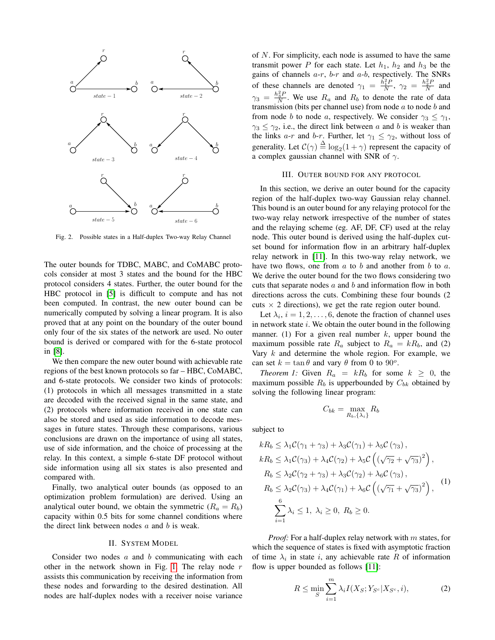

<span id="page-1-0"></span>Fig. 2. Possible states in a Half-duplex Two-way Relay Channel

The outer bounds for TDBC, MABC, and CoMABC protocols consider at most 3 states and the bound for the HBC protocol considers 4 states. Further, the outer bound for the HBC protocol in [\[5\]](#page-7-3) is difficult to compute and has not been computed. In contrast, the new outer bound can be numerically computed by solving a linear program. It is also proved that at any point on the boundary of the outer bound only four of the six states of the network are used. No outer bound is derived or compared with for the 6-state protocol in [\[8\]](#page-7-7).

We then compare the new outer bound with achievable rate regions of the best known protocols so far – HBC, CoMABC, and 6-state protocols. We consider two kinds of protocols: (1) protocols in which all messages transmitted in a state are decoded with the received signal in the same state, and (2) protocols where information received in one state can also be stored and used as side information to decode messages in future states. Through these comparisons, various conclusions are drawn on the importance of using all states, use of side information, and the choice of processing at the relay. In this context, a simple 6-state DF protocol without side information using all six states is also presented and compared with.

Finally, two analytical outer bounds (as opposed to an optimization problem formulation) are derived. Using an analytical outer bound, we obtain the symmetric  $(R_a = R_b)$ capacity within 0.5 bits for some channel conditions where the direct link between nodes  $a$  and  $b$  is weak.

#### II. SYSTEM MODEL

Consider two nodes  $a$  and  $b$  communicating with each other in the network shown in Fig. [1.](#page-0-0) The relay node  $r$ assists this communication by receiving the information from these nodes and forwarding to the desired destination. All nodes are half-duplex nodes with a receiver noise variance

of  $N$ . For simplicity, each node is assumed to have the same transmit power P for each state. Let  $h_1$ ,  $h_2$  and  $h_3$  be the gains of channels  $a-r$ ,  $b-r$  and  $a-b$ , respectively. The SNRs of these channels are denoted  $\gamma_1 = \frac{\hat{h}_1^2 P}{N}$ ,  $\gamma_2 = \frac{h_2^2 P}{N}$  and  $\gamma_3 = \frac{h_3^2 P}{N}$ . We use  $R_a$  and  $R_b$  to denote the rate of data transmission (bits per channel use) from node  $a$  to node  $b$  and from node b to node a, respectively. We consider  $\gamma_3 \leq \gamma_1$ ,  $\gamma_3 \leq \gamma_2$ , i.e., the direct link between a and b is weaker than the links a-r and b-r. Further, let  $\gamma_1 \leq \gamma_2$ , without loss of generality. Let  $C(\gamma) \stackrel{\Delta}{=} \log_2(1+\gamma)$  represent the capacity of a complex gaussian channel with SNR of  $\gamma$ .

#### III. OUTER BOUND FOR ANY PROTOCOL

In this section, we derive an outer bound for the capacity region of the half-duplex two-way Gaussian relay channel. This bound is an outer bound for any relaying protocol for the two-way relay network irrespective of the number of states and the relaying scheme (eg. AF, DF, CF) used at the relay node. This outer bound is derived using the half-duplex cutset bound for information flow in an arbitrary half-duplex relay network in [\[11\]](#page-7-8). In this two-way relay network, we have two flows, one from  $a$  to  $b$  and another from  $b$  to  $a$ . We derive the outer bound for the two flows considering two cuts that separate nodes  $a$  and  $b$  and information flow in both directions across the cuts. Combining these four bounds (2 cuts  $\times$  2 directions), we get the rate region outer bound.

Let  $\lambda_i$ ,  $i = 1, 2, \dots, 6$ , denote the fraction of channel uses in network state  $i$ . We obtain the outer bound in the following manner. (1) For a given real number  $k$ , upper bound the maximum possible rate  $R_a$  subject to  $R_a = kR_b$ , and (2) Vary  $k$  and determine the whole region. For example, we can set  $k = \tan \theta$  and vary  $\theta$  from 0 to 90<sup>o</sup>.

*Theorem 1:* Given  $R_a = kR_b$  for some  $k \geq 0$ , the maximum possible  $R_b$  is upperbounded by  $C_{bk}$  obtained by solving the following linear program:

$$
C_{bk} = \max_{R_b, \{\lambda_i\}} R_b
$$

subject to

<span id="page-1-1"></span>
$$
kR_b \leq \lambda_1 C(\gamma_1 + \gamma_3) + \lambda_3 C(\gamma_1) + \lambda_5 C(\gamma_3),
$$
  
\n
$$
kR_b \leq \lambda_1 C(\gamma_3) + \lambda_4 C(\gamma_2) + \lambda_5 C \left( (\sqrt{\gamma_2} + \sqrt{\gamma_3})^2 \right),
$$
  
\n
$$
R_b \leq \lambda_2 C(\gamma_2 + \gamma_3) + \lambda_3 C(\gamma_2) + \lambda_6 C (\gamma_3),
$$
  
\n
$$
R_b \leq \lambda_2 C(\gamma_3) + \lambda_4 C(\gamma_1) + \lambda_6 C \left( (\sqrt{\gamma_1} + \sqrt{\gamma_3})^2 \right),
$$
  
\n
$$
\sum_{i=1}^{6} \lambda_i \leq 1, \lambda_i \geq 0, R_b \geq 0.
$$
  
\n(1)

*Proof:* For a half-duplex relay network with m states, for which the sequence of states is fixed with asymptotic fraction of time  $\lambda_i$  in state i, any achievable rate R of information flow is upper bounded as follows [\[11\]](#page-7-8):

$$
R \le \min_{S} \sum_{i=1}^{m} \lambda_i I(X_S; Y_{S^c} | X_{S^c}, i), \tag{2}
$$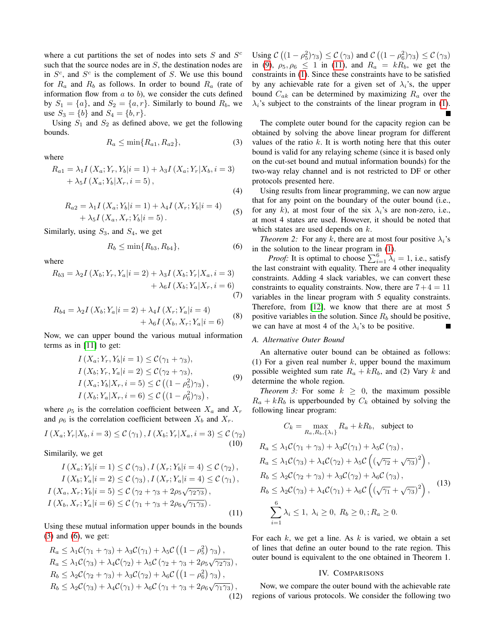where a cut partitions the set of nodes into sets  $S$  and  $S^c$ such that the source nodes are in  $S$ , the destination nodes are in  $S^c$ , and  $S^c$  is the complement of S. We use this bound for  $R_a$  and  $R_b$  as follows. In order to bound  $R_a$  (rate of information flow from  $a$  to  $b$ ), we consider the cuts defined by  $S_1 = \{a\}$ , and  $S_2 = \{a, r\}$ . Similarly to bound  $R_b$ , we use  $S_3 = \{b\}$  and  $S_4 = \{b, r\}.$ 

Using  $S_1$  and  $S_2$  as defined above, we get the following bounds.

<span id="page-2-0"></span>
$$
R_a \le \min\{R_{a1}, R_{a2}\},\tag{3}
$$

where

$$
R_{a1} = \lambda_1 I(X_a; Y_r, Y_b|i=1) + \lambda_3 I(X_a; Y_r|X_b, i=3) + \lambda_5 I(X_a; Y_b|X_r, i=5),
$$
\n(4)

$$
R_{a2} = \lambda_1 I(X_a; Y_b|i=1) + \lambda_4 I(X_r; Y_b|i=4)
$$
  
+  $\lambda_5 I(X_a, X_r; Y_b|i=5)$ . (5)

Similarly, using  $S_3$ , and  $S_4$ , we get

<span id="page-2-1"></span>
$$
R_b \le \min\{R_{b3}, R_{b4}\},\tag{6}
$$

where

$$
R_{b3} = \lambda_2 I(X_b; Y_r, Y_a | i = 2) + \lambda_3 I(X_b; Y_r | X_a, i = 3) + \lambda_6 I(X_b; Y_a | X_r, i = 6)
$$
\n(7)

$$
R_{b4} = \lambda_2 I(X_b; Y_a | i = 2) + \lambda_4 I(X_r; Y_a | i = 4) + \lambda_6 I(X_b, X_r; Y_a | i = 6)
$$
 (8)

Now, we can upper bound the various mutual information terms as in [\[11\]](#page-7-8) to get:

$$
I(X_a; Y_r, Y_b|i = 1) \leq C(\gamma_1 + \gamma_3),
$$
  
\n
$$
I(X_b; Y_r, Y_a|i = 2) \leq C(\gamma_2 + \gamma_3),
$$
  
\n
$$
I(X_a; Y_b|X_r, i = 5) \leq C((1 - \rho_5^2)\gamma_3),
$$
  
\n
$$
I(X_b; Y_a|X_r, i = 6) \leq C((1 - \rho_6^2)\gamma_3),
$$
\n(9)

<span id="page-2-2"></span>where  $\rho_5$  is the correlation coefficient between  $X_a$  and  $X_r$ and  $\rho_6$  is the correlation coefficient between  $X_b$  and  $X_r$ .

$$
I(X_a; Y_r | X_b, i = 3) \leq \mathcal{C}(\gamma_1), I(X_b; Y_r | X_a, i = 3) \leq \mathcal{C}(\gamma_2)
$$
\n
$$
(10)
$$

Similarily, we get

<span id="page-2-3"></span>
$$
I(X_a; Y_b|i = 1) \leq C(\gamma_3), I(X_r; Y_b|i = 4) \leq C(\gamma_2),
$$
  
\n
$$
I(X_b; Y_a|i = 2) \leq C(\gamma_3), I(X_r; Y_a|i = 4) \leq C(\gamma_1),
$$
  
\n
$$
I(X_a, X_r; Y_b|i = 5) \leq C(\gamma_2 + \gamma_3 + 2\rho_5\sqrt{\gamma_2\gamma_3}),
$$
  
\n
$$
I(X_b, X_r; Y_a|i = 6) \leq C(\gamma_1 + \gamma_3 + 2\rho_6\sqrt{\gamma_1\gamma_3}).
$$
\n(11)

Using these mutual information upper bounds in the bounds [\(3\)](#page-2-0) and [\(6\)](#page-2-1), we get:

$$
R_a \leq \lambda_1 C(\gamma_1 + \gamma_3) + \lambda_3 C(\gamma_1) + \lambda_5 C \left( \left( 1 - \rho_5^2 \right) \gamma_3 \right),
$$
  
\n
$$
R_a \leq \lambda_1 C(\gamma_3) + \lambda_4 C(\gamma_2) + \lambda_5 C \left( \gamma_2 + \gamma_3 + 2\rho_5 \sqrt{\gamma_2 \gamma_3} \right),
$$
  
\n
$$
R_b \leq \lambda_2 C(\gamma_2 + \gamma_3) + \lambda_3 C(\gamma_2) + \lambda_6 C \left( \left( 1 - \rho_6^2 \right) \gamma_3 \right),
$$
  
\n
$$
R_b \leq \lambda_2 C(\gamma_3) + \lambda_4 C(\gamma_1) + \lambda_6 C \left( \gamma_1 + \gamma_3 + 2\rho_6 \sqrt{\gamma_1 \gamma_3} \right),
$$
  
\n(12)

Using  $\mathcal{C}\left((1-\rho_5^2)\gamma_3\right) \leq \mathcal{C}\left(\gamma_3\right)$  and  $\mathcal{C}\left((1-\rho_6^2)\gamma_3\right) \leq \mathcal{C}\left(\gamma_3\right)$ in [\(9\)](#page-2-2),  $\rho_5, \rho_6 \le 1$  in [\(11\)](#page-2-3), and  $R_a = kR_b$ , we get the constraints in [\(1\)](#page-1-1). Since these constraints have to be satisfied by any achievable rate for a given set of  $\lambda_i$ 's, the upper bound  $C_{ak}$  can be determined by maximizing  $R_a$  over the  $\lambda_i$ 's subject to the constraints of the linear program in [\(1\)](#page-1-1).

The complete outer bound for the capacity region can be obtained by solving the above linear program for different values of the ratio  $k$ . It is worth noting here that this outer bound is valid for any relaying scheme (since it is based only on the cut-set bound and mutual information bounds) for the two-way relay channel and is not restricted to DF or other protocols presented here.

Using results from linear programming, we can now argue that for any point on the boundary of the outer bound (i.e., for any k), at most four of the six  $\lambda_i$ 's are non-zero, i.e., at most 4 states are used. However, it should be noted that which states are used depends on  $k$ .

*Theorem 2:* For any k, there are at most four positive  $\lambda_i$ 's in the solution to the linear program in [\(1\)](#page-1-1).

*Proof:* It is optimal to choose  $\sum_{i=1}^{6} \lambda_i = 1$ , i.e., satisfy the last constraint with equality. There are 4 other inequality constraints. Adding 4 slack variables, we can convert these constraints to equality constraints. Now, there are  $7+4=11$ variables in the linear program with 5 equality constraints. Therefore, from [\[12\]](#page-7-9), we know that there are at most 5 positive variables in the solution. Since  $R_b$  should be positive, we can have at most 4 of the  $\lambda_i$ 's to be positive.

## *A. Alternative Outer Bound*

An alternative outer bound can be obtained as follows: (1) For a given real number k, upper bound the maximum possible weighted sum rate  $R_a + kR_b$ , and (2) Vary k and determine the whole region.

*Theorem 3:* For some  $k \geq 0$ , the maximum possible  $R_a + kR_b$  is upperbounded by  $C_k$  obtained by solving the following linear program:

<span id="page-2-4"></span>
$$
C_k = \max_{R_a, R_b, \{\lambda_i\}} R_a + kR_b, \text{ subject to}
$$
  
\n
$$
R_a \leq \lambda_1 C(\gamma_1 + \gamma_3) + \lambda_3 C(\gamma_1) + \lambda_5 C(\gamma_3),
$$
  
\n
$$
R_a \leq \lambda_1 C(\gamma_3) + \lambda_4 C(\gamma_2) + \lambda_5 C \left( (\sqrt{\gamma_2} + \sqrt{\gamma_3})^2 \right),
$$
  
\n
$$
R_b \leq \lambda_2 C(\gamma_2 + \gamma_3) + \lambda_3 C(\gamma_2) + \lambda_6 C(\gamma_3),
$$
  
\n
$$
R_b \leq \lambda_2 C(\gamma_3) + \lambda_4 C(\gamma_1) + \lambda_6 C \left( (\sqrt{\gamma_1} + \sqrt{\gamma_3})^2 \right),
$$
  
\n
$$
\sum_{i=1}^6 \lambda_i \leq 1, \ \lambda_i \geq 0, \ R_b \geq 0, ; R_a \geq 0.
$$
  
\n(13)

For each  $k$ , we get a line. As  $k$  is varied, we obtain a set of lines that define an outer bound to the rate region. This outer bound is equivalent to the one obtained in Theorem 1.

#### IV. COMPARISONS

Now, we compare the outer bound with the achievable rate regions of various protocols. We consider the following two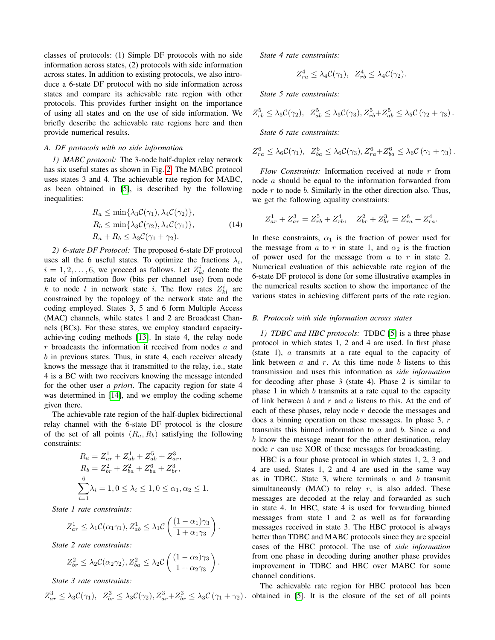classes of protocols: (1) Simple DF protocols with no side information across states, (2) protocols with side information across states. In addition to existing protocols, we also introduce a 6-state DF protocol with no side information across states and compare its achievable rate region with other protocols. This provides further insight on the importance of using all states and on the use of side information. We briefly describe the achievable rate regions here and then provide numerical results.

# *A. DF protocols with no side information*

*1) MABC protocol:* The 3-node half-duplex relay network has six useful states as shown in Fig. [2.](#page-1-0) The MABC protocol uses states 3 and 4. The achievable rate region for MABC, as been obtained in [\[5\]](#page-7-3), is described by the following inequalities:

$$
R_a \le \min\{\lambda_3 C(\gamma_1), \lambda_4 C(\gamma_2)\},
$$
  
\n
$$
R_b \le \min\{\lambda_3 C(\gamma_2), \lambda_4 C(\gamma_1)\},
$$
  
\n
$$
R_a + R_b \le \lambda_3 C(\gamma_1 + \gamma_2).
$$
\n(14)

*2) 6-state DF Protocol:* The proposed 6-state DF protocol uses all the 6 useful states. To optimize the fractions  $\lambda_i$ ,  $i = 1, 2, \dots, 6$ , we proceed as follows. Let  $Z_{kl}^{i}$  denote the rate of information flow (bits per channel use) from node k to node l in network state i. The flow rates  $Z_{kl}^{i}$  are constrained by the topology of the network state and the coding employed. States 3, 5 and 6 form Multiple Access (MAC) channels, while states 1 and 2 are Broadcast Channels (BCs). For these states, we employ standard capacityachieving coding methods [\[13\]](#page-7-10). In state 4, the relay node  $r$  broadcasts the information it received from nodes  $a$  and b in previous states. Thus, in state 4, each receiver already knows the message that it transmitted to the relay, i.e., state 4 is a BC with two receivers knowing the message intended for the other user *a priori*. The capacity region for state 4 was determined in [\[14\]](#page-7-11), and we employ the coding scheme given there.

The achievable rate region of the half-duplex bidirectional relay channel with the 6-state DF protocol is the closure of the set of all points  $(R_a, R_b)$  satisfying the following constraints:

$$
R_a = Z_{ar}^1 + Z_{ab}^1 + Z_{ab}^5 + Z_{ar}^3,
$$
  
\n
$$
R_b = Z_{br}^2 + Z_{ba}^2 + Z_{ba}^6 + Z_{br}^3,
$$
  
\n
$$
\sum_{i=1}^6 \lambda_i = 1, 0 \le \lambda_i \le 1, 0 \le \alpha_1, \alpha_2 \le 1.
$$

*State 1 rate constraints:*

$$
Z_{ar}^1 \leq \lambda_1 C(\alpha_1 \gamma_1), Z_{ab}^1 \leq \lambda_1 C \left( \frac{(1 - \alpha_1)\gamma_3}{1 + \alpha_1 \gamma_3} \right).
$$

*State 2 rate constraints:*

$$
Z_{br}^2 \leq \lambda_2 C(\alpha_2 \gamma_2), Z_{ba}^2 \leq \lambda_2 C \left( \frac{(1 - \alpha_2)\gamma_3}{1 + \alpha_2 \gamma_3} \right).
$$

*State 3 rate constraints:*

$$
Z_{ar}^3 \leq \lambda_3 C(\gamma_1), \ Z_{br}^3 \leq \lambda_3 C(\gamma_2), Z_{ar}^3 + Z_{br}^3 \leq \lambda_3 C(\gamma_1 + \gamma_2).
$$

*State 4 rate constraints:*

$$
Z_{ra}^4 \leq \lambda_4 C(\gamma_1), \ \ Z_{rb}^4 \leq \lambda_4 C(\gamma_2).
$$

*State 5 rate constraints:*

$$
Z_{rb}^5 \leq \lambda_5 C(\gamma_2), \ \ Z_{ab}^5 \leq \lambda_5 C(\gamma_3), Z_{rb}^5 + Z_{ab}^5 \leq \lambda_5 C(\gamma_2 + \gamma_3).
$$

*State 6 rate constraints:*

$$
Z_{ra}^6 \leq \lambda_6 C(\gamma_1), \ Z_{ba}^6 \leq \lambda_6 C(\gamma_3), Z_{ra}^6 + Z_{ba}^6 \leq \lambda_6 C (\gamma_1 + \gamma_3).
$$

*Flow Constraints:* Information received at node r from node a should be equal to the information forwarded from node  $r$  to node  $b$ . Similarly in the other direction also. Thus, we get the following equality constraints:

$$
Z_{ar}^1+Z_{ar}^3=Z_{rb}^5+Z_{rb}^4,\quad Z_{br}^2+Z_{br}^3=Z_{ra}^6+Z_{ra}^4.
$$

In these constraints,  $\alpha_1$  is the fraction of power used for the message from a to r in state 1, and  $\alpha_2$  is the fraction of power used for the message from  $a$  to  $r$  in state 2. Numerical evaluation of this achievable rate region of the 6-state DF protocol is done for some illustrative examples in the numerical results section to show the importance of the various states in achieving different parts of the rate region.

#### *B. Protocols with side information across states*

*1) TDBC and HBC protocols:* TDBC [\[5\]](#page-7-3) is a three phase protocol in which states 1, 2 and 4 are used. In first phase (state 1), a transmits at a rate equal to the capacity of link between  $a$  and  $r$ . At this time node  $b$  listens to this transmission and uses this information as *side information* for decoding after phase 3 (state 4). Phase 2 is similar to phase 1 in which  $b$  transmits at a rate equal to the capacity of link between  $b$  and  $r$  and  $a$  listens to this. At the end of each of these phases, relay node r decode the messages and does a binning operation on these messages. In phase 3, r transmits this binned information to  $a$  and  $b$ . Since  $a$  and b know the message meant for the other destination, relay node r can use XOR of these messages for broadcasting.

HBC is a four phase protocol in which states 1, 2, 3 and 4 are used. States 1, 2 and 4 are used in the same way as in TDBC. State 3, where terminals  $a$  and  $b$  transmit simultaneously (MAC) to relay  $r$ , is also added. These messages are decoded at the relay and forwarded as such in state 4. In HBC, state 4 is used for forwarding binned messages from state 1 and 2 as well as for forwarding messages received in state 3. The HBC protocol is always better than TDBC and MABC protocols since they are special cases of the HBC protocol. The use of *side information* from one phase in decoding during another phase provides improvement in TDBC and HBC over MABC for some channel conditions.

The achievable rate region for HBC protocol has been obtained in [\[5\]](#page-7-3). It is the closure of the set of all points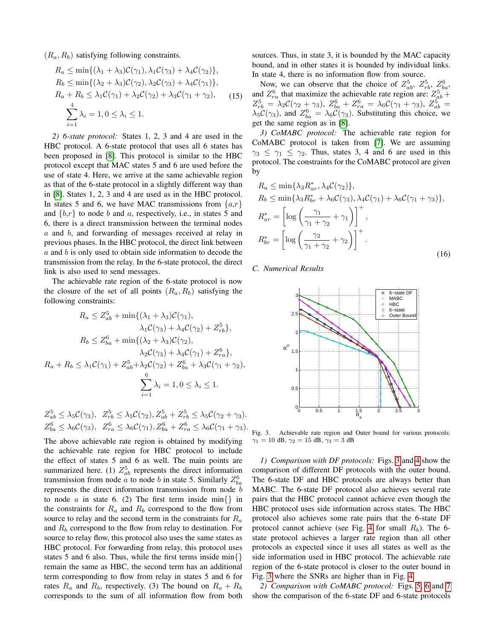$(R_a, R_b)$  satisfying following constraints.

$$
R_a \le \min\{(\lambda_1 + \lambda_3)\mathcal{C}(\gamma_1), \lambda_1\mathcal{C}(\gamma_3) + \lambda_4\mathcal{C}(\gamma_2)\},
$$
  
\n
$$
R_b \le \min\{(\lambda_2 + \lambda_3)\mathcal{C}(\gamma_2), \lambda_2\mathcal{C}(\gamma_3) + \lambda_4\mathcal{C}(\gamma_1)\},
$$
  
\n
$$
R_a + R_b \le \lambda_1\mathcal{C}(\gamma_1) + \lambda_2\mathcal{C}(\gamma_2) + \lambda_3\mathcal{C}(\gamma_1 + \gamma_2),
$$
  
\n
$$
\sum_{i=1}^4 \lambda_i = 1, 0 \le \lambda_i \le 1.
$$
 (15)

*2) 6-state protocol:* States 1, 2, 3 and 4 are used in the HBC protocol. A 6-state protocol that uses all 6 states has been proposed in [\[8\]](#page-7-7). This protocol is similar to the HBC protocol except that MAC states 5 and 6 are used before the use of state 4. Here, we arrive at the same achievable region as that of the 6-state protocol in a slightly different way than in [\[8\]](#page-7-7). States 1, 2, 3 and 4 are used as in the HBC protocol. In states 5 and 6, we have MAC transmissions from  $\{a,r\}$ and  $\{b,r\}$  to node b and a, respectively, i.e., in states 5 and 6, there is a direct transmission between the terminal nodes a and b, and forwarding of messages received at relay in previous phases. In the HBC protocol, the direct link between  $a$  and  $b$  is only used to obtain side information to decode the transmission from the relay. In the 6-state protocol, the direct link is also used to send messages.

The achievable rate region of the 6-state protocol is now the closure of the set of all points  $(R_a, R_b)$  satisfying the following constraints:

$$
R_a \le Z_{ab}^5 + \min\{(\lambda_1 + \lambda_3)\mathcal{C}(\gamma_1), \lambda_1\mathcal{C}(\gamma_3) + \lambda_4\mathcal{C}(\gamma_2) + Z_{rb}^5\},
$$
  
\n
$$
R_b \le Z_{ba}^6 + \min\{(\lambda_2 + \lambda_3)\mathcal{C}(\gamma_2), \lambda_2\mathcal{C}(\gamma_3) + \lambda_4\mathcal{C}(\gamma_1) + Z_{ra}^6\},
$$
  
\n
$$
R_a + R_b \le \lambda_1\mathcal{C}(\gamma_1) + Z_{ab}^5 + \lambda_2\mathcal{C}(\gamma_2) + Z_{ba}^6 + \lambda_3\mathcal{C}(\gamma_1 + \gamma_2),
$$
  
\n
$$
\sum_{i=1}^6 \lambda_i = 1, 0 \le \lambda_i \le 1.
$$

$$
Z_{ab}^5 \le \lambda_5 C(\gamma_3), \quad Z_{rb}^5 \le \lambda_5 C(\gamma_2), Z_{ab}^5 + Z_{rb}^5 \le \lambda_5 C(\gamma_2 + \gamma_3).
$$
  

$$
Z_{ba}^6 \le \lambda_6 C(\gamma_3), \quad Z_{ra}^6 \le \lambda_6 C(\gamma_1), Z_{ba}^6 + Z_{ra}^6 \le \lambda_6 C(\gamma_1 + \gamma_3).
$$

The above achievable rate region is obtained by modifying the achievable rate region for HBC protocol to include the effect of states 5 and 6 as well. The main points are summarized here. (1)  $Z_{ab}^5$  represents the direct information transmission from node *a* to node *b* in state 5. Similarly  $Z_{ba}^6$ represents the direct information transmission from node b to node a in state 6. (2) The first term inside min $\{\}\$ in the constraints for  $R_a$  and  $R_b$  correspond to the flow from source to relay and the second term in the constraints for  $R_a$ and  $R_b$  correspond to the flow from relay to destination. For source to relay flow, this protocol also uses the same states as HBC protocol. For forwarding from relay, this protocol uses states 5 and 6 also. Thus, while the first terms inside min{} remain the same as HBC, the second term has an additional term corresponding to flow from relay in states 5 and 6 for rates  $R_a$  and  $R_b$ , respectively. (3) The bound on  $R_a + R_b$ corresponds to the sum of all information flow from both

sources. Thus, in state 3, it is bounded by the MAC capacity bound, and in other states it is bounded by individual links. In state 4, there is no information flow from source.

Now, we can observe that the choice of  $Z_{ab}^5$ ,  $Z_{rb}^5$ ,  $Z_{ba}^6$ , and  $Z_{ra}^6$  that maximize the achievable rate region are:  $Z_{ab}^5$  +  $Z_{rb}^5 = \lambda_2 C (\gamma_2 + \gamma_3), Z_{ba}^6 + Z_{ra}^6 = \lambda_6 C (\gamma_1 + \gamma_3), Z_{ab}^5 =$  $\lambda_5 C(\gamma_3)$ , and  $Z_{ba}^6 = \lambda_6 C(\gamma_3)$ . Substituting this choice, we get the same region as in [\[8\]](#page-7-7).

*3) CoMABC protocol:* The achievable rate region for CoMABC protocol is taken from [\[7\]](#page-7-6). We are assuming  $\gamma_3 \leq \gamma_1 \leq \gamma_2$ . Thus, states 3, 4 and 6 are used in this protocol. The constraints for the CoMABC protocol are given by

$$
R_a \le \min\{\lambda_3 R_{ar}^*, \lambda_4 C(\gamma_2)\},
$$
  
\n
$$
R_b \le \min\{\lambda_3 R_{br}^* + \lambda_6 C(\gamma_3), \lambda_4 C(\gamma_1) + \lambda_6 C(\gamma_1 + \gamma_3)\},
$$
  
\n
$$
R_{ar}^* = \left[\log\left(\frac{\gamma_1}{\gamma_1 + \gamma_2} + \gamma_1\right)\right]^+,
$$
  
\n
$$
R_{br}^* = \left[\log\left(\frac{\gamma_2}{\gamma_1 + \gamma_2} + \gamma_2\right)\right]^+.
$$
\n(16)

*C. Numerical Results*



<span id="page-4-0"></span>Fig. 3. Achievable rate region and Outer bound for various protocols:  $\gamma_1 = 10$  dB,  $\gamma_2 = 15$  dB,  $\gamma_3 = 3$  dB

*1) Comparison with DF protocols:* Figs. [3](#page-4-0) and [4](#page-5-0) show the comparison of different DF protocols with the outer bound. The 6-state DF and HBC protocols are always better than MABC. The 6-state DF protocol also achieves several rate pairs that the HBC protocol cannot achieve even though the HBC protocol uses side information across states. The HBC protocol also achieves some rate pairs that the 6-state DF protocol cannot achieve (see Fig. [4](#page-5-0) for small  $R_b$ ). The 6state protocol achieves a larger rate region than all other protocols as expected since it uses all states as well as the side information used in HBC protocol. The achievable rate region of the 6-state protocol is closer to the outer bound in Fig. [3](#page-4-0) where the SNRs are higher than in Fig. [4.](#page-5-0)

*2) Comparison with CoMABC protocol:* Figs. [5,](#page-5-1) [6](#page-5-2) and [7](#page-5-3) show the comparison of the 6-state DF and 6-state protocols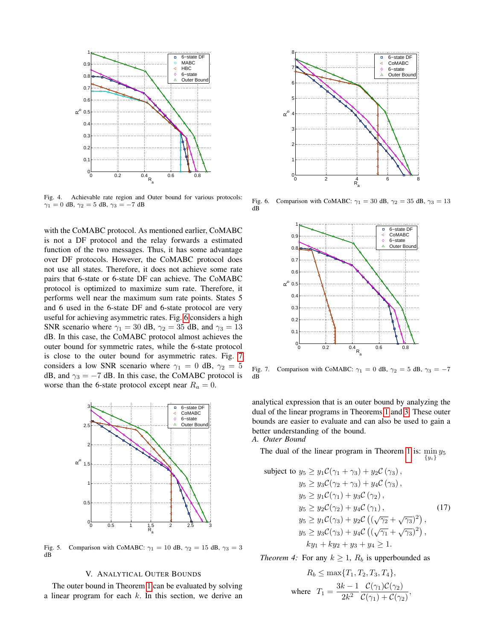

<span id="page-5-0"></span>Fig. 4. Achievable rate region and Outer bound for various protocols:  $\gamma_1 = 0$  dB,  $\gamma_2 = 5$  dB,  $\gamma_3 = -7$  dB

with the CoMABC protocol. As mentioned earlier, CoMABC is not a DF protocol and the relay forwards a estimated function of the two messages. Thus, it has some advantage over DF protocols. However, the CoMABC protocol does not use all states. Therefore, it does not achieve some rate pairs that 6-state or 6-state DF can achieve. The CoMABC protocol is optimized to maximize sum rate. Therefore, it performs well near the maximum sum rate points. States 5 and 6 used in the 6-state DF and 6-state protocol are very useful for achieving asymmetric rates. Fig. [6](#page-5-2) considers a high SNR scenario where  $\gamma_1 = 30$  dB,  $\gamma_2 = 35$  dB, and  $\gamma_3 = 13$ dB. In this case, the CoMABC protocol almost achieves the outer bound for symmetric rates, while the 6-state protocol is close to the outer bound for asymmetric rates. Fig. [7](#page-5-3) considers a low SNR scenario where  $\gamma_1 = 0$  dB,  $\gamma_2 = 5$ dB, and  $\gamma_3 = -7$  dB. In this case, the CoMABC protocol is worse than the 6-state protocol except near  $R_a = 0$ .



<span id="page-5-1"></span>Fig. 5. Comparison with CoMABC:  $\gamma_1 = 10$  dB,  $\gamma_2 = 15$  dB,  $\gamma_3 = 3$ dB

## V. ANALYTICAL OUTER BOUNDS

The outer bound in Theorem [1](#page-1-1) can be evaluated by solving a linear program for each  $k$ . In this section, we derive an



Fig. 6. Comparison with CoMABC:  $\gamma_1 = 30$  dB,  $\gamma_2 = 35$  dB,  $\gamma_3 = 13$ dB

<span id="page-5-2"></span>

<span id="page-5-3"></span>Fig. 7. Comparison with CoMABC:  $\gamma_1 = 0$  dB,  $\gamma_2 = 5$  dB,  $\gamma_3 = -7$ dB

analytical expression that is an outer bound by analyzing the dual of the linear programs in Theorems [1](#page-1-1) and [3.](#page-2-4) These outer bounds are easier to evaluate and can also be used to gain a better understanding of the bound.

*A. Outer Bound*

The dual of the linear program in Theorem [1](#page-1-1) is:  $\min_{y_5} y_5$  $\{y_i\}$ 

subject to 
$$
y_5 \ge y_1 C(\gamma_1 + \gamma_3) + y_2 C(\gamma_3)
$$
,  
\n $y_5 \ge y_3 C(\gamma_2 + \gamma_3) + y_4 C(\gamma_3)$ ,  
\n $y_5 \ge y_1 C(\gamma_1) + y_3 C(\gamma_2)$ ,  
\n $y_5 \ge y_2 C(\gamma_2) + y_4 C(\gamma_1)$ , (17)  
\n $y_5 \ge y_1 C(\gamma_3) + y_2 C((\sqrt{\gamma_2} + \sqrt{\gamma_3})^2)$ ,  
\n $y_5 \ge y_3 C(\gamma_3) + y_4 C((\sqrt{\gamma_1} + \sqrt{\gamma_3})^2)$ ,  
\n $k y_1 + k y_2 + y_3 + y_4 \ge 1$ .

<span id="page-5-4"></span>*Theorem 4:* For any  $k \geq 1$ ,  $R_b$  is upperbounded as

$$
R_b \le \max\{T_1, T_2, T_3, T_4\},\
$$
  
where 
$$
T_1 = \frac{3k - 1}{2k^2} \frac{\mathcal{C}(\gamma_1)\mathcal{C}(\gamma_2)}{\mathcal{C}(\gamma_1) + \mathcal{C}(\gamma_2)},
$$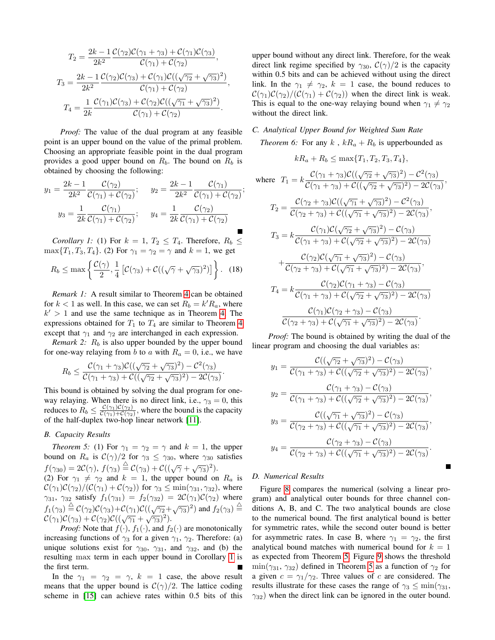$$
T_2 = \frac{2k - 1}{2k^2} \frac{\mathcal{C}(\gamma_2)\mathcal{C}(\gamma_1 + \gamma_3) + \mathcal{C}(\gamma_1)\mathcal{C}(\gamma_3)}{\mathcal{C}(\gamma_1) + \mathcal{C}(\gamma_2)},
$$
  
\n
$$
T_3 = \frac{2k - 1}{2k^2} \frac{\mathcal{C}(\gamma_2)\mathcal{C}(\gamma_3) + \mathcal{C}(\gamma_1)\mathcal{C}((\sqrt{\gamma_2} + \sqrt{\gamma_3})^2)}{\mathcal{C}(\gamma_1) + \mathcal{C}(\gamma_2)},
$$
  
\n
$$
T_4 = \frac{1}{2k} \frac{\mathcal{C}(\gamma_1)\mathcal{C}(\gamma_3) + \mathcal{C}(\gamma_2)\mathcal{C}((\sqrt{\gamma_1} + \sqrt{\gamma_3})^2)}{\mathcal{C}(\gamma_1) + \mathcal{C}(\gamma_2)}.
$$

*Proof:* The value of the dual program at any feasible point is an upper bound on the value of the primal problem. Choosing an appropriate feasible point in the dual program provides a good upper bound on  $R_b$ . The bound on  $R_b$  is obtained by choosing the following:

$$
y_1 = \frac{2k - 1}{2k^2} \frac{\mathcal{C}(\gamma_2)}{\mathcal{C}(\gamma_1) + \mathcal{C}(\gamma_2)}; \qquad y_2 = \frac{2k - 1}{2k^2} \frac{\mathcal{C}(\gamma_1)}{\mathcal{C}(\gamma_1) + \mathcal{C}(\gamma_2)};
$$

$$
y_3 = \frac{1}{2k} \frac{\mathcal{C}(\gamma_1)}{\mathcal{C}(\gamma_1) + \mathcal{C}(\gamma_2)}; \qquad y_4 = \frac{1}{2k} \frac{\mathcal{C}(\gamma_2)}{\mathcal{C}(\gamma_1) + \mathcal{C}(\gamma_2)}.
$$

*Corollary 1:* (1) For  $k = 1, T_2 \leq T_4$ . Therefore,  $R_b \leq$  $\max\{T_1, T_3, T_4\}$ . (2) For  $\gamma_1 = \gamma_2 = \gamma$  and  $k = 1$ , we get

<span id="page-6-0"></span>
$$
R_b \le \max\left\{\frac{\mathcal{C}(\gamma)}{2}, \frac{1}{4}\left[\mathcal{C}(\gamma_3) + \mathcal{C}((\sqrt{\gamma} + \sqrt{\gamma_3})^2)\right]\right\}.
$$
 (18)

*Remark 1:* A result similar to Theorem [4](#page-5-4) can be obtained for  $k < 1$  as well. In this case, we can set  $R_b = k'R_a$ , where  $k' > 1$  and use the same technique as in Theorem [4.](#page-5-4) The expressions obtained for  $T_1$  to  $T_4$  are similar to Theorem [4](#page-5-4) except that  $\gamma_1$  and  $\gamma_2$  are interchanged in each expression.

*Remark 2:*  $R_b$  is also upper bounded by the upper bound for one-way relaying from b to a with  $R_a = 0$ , i.e., we have

$$
R_b \leq \frac{\mathcal{C}(\gamma_1 + \gamma_3)\mathcal{C}((\sqrt{\gamma_2} + \sqrt{\gamma_3})^2) - \mathcal{C}^2(\gamma_3)}{\mathcal{C}(\gamma_1 + \gamma_3) + \mathcal{C}((\sqrt{\gamma_2} + \sqrt{\gamma_3})^2) - 2\mathcal{C}(\gamma_3)}
$$

.

This bound is obtained by solving the dual program for oneway relaying. When there is no direct link, i.e.,  $\gamma_3 = 0$ , this reduces to  $R_b \leq \frac{\mathcal{C}(\gamma_1)\mathcal{C}(\gamma_2)}{\mathcal{C}(\gamma_1)+\mathcal{C}(\gamma_2)}$  $\frac{C(\gamma_1)C(\gamma_2)}{C(\gamma_1)+C(\gamma_2)}$ , where the bound is the capacity of the half-duplex two-hop linear network [\[11\]](#page-7-8).

## *B. Capacity Results*

<span id="page-6-1"></span>*Theorem 5:* (1) For  $\gamma_1 = \gamma_2 = \gamma$  and  $k = 1$ , the upper bound on  $R_a$  is  $C(\gamma)/2$  for  $\gamma_3 \leq \gamma_{30}$ , where  $\gamma_{30}$  satisfies  $f(\gamma_{30}) = 2\mathcal{C}(\gamma), f(\gamma_3) \stackrel{\triangle}{=} \mathcal{C}(\gamma_3) + \mathcal{C}((\sqrt{\gamma} + \sqrt{\gamma_3})^2).$ (2) For  $\gamma_1 \neq \gamma_2$  and  $k = 1$ , the upper bound on  $R_a$  is  $\mathcal{C}(\gamma_1)\mathcal{C}(\gamma_2)/(\mathcal{C}(\gamma_1)+\mathcal{C}(\gamma_2))$  for  $\gamma_3 \leq \min(\gamma_{31}, \gamma_{32})$ , where  $\gamma_{31}$ ,  $\gamma_{32}$  satisfy  $f_1(\gamma_{31}) = f_2(\gamma_{32}) = 2\mathcal{C}(\gamma_1)\mathcal{C}(\gamma_2)$  where  $f_1(\gamma_3) \stackrel{\triangle}{=} C(\gamma_2)C(\gamma_3) + C(\gamma_1)C((\sqrt{\gamma_2}+\sqrt{\gamma_3})^2)$  and  $f_2(\gamma_3) \stackrel{\triangle}{=}$  $\mathcal{C}(\gamma_1)\mathcal{C}(\gamma_3)+\mathcal{C}(\gamma_2)\mathcal{C}((\sqrt{\gamma_1}+\sqrt{\gamma_3})^2).$ 

*Proof:* Note that  $f(\cdot)$ ,  $f_1(\cdot)$ , and  $f_2(\cdot)$  are monotonically increasing functions of  $\gamma_3$  for a given  $\gamma_1$ ,  $\gamma_2$ . Therefore: (a) unique solutions exist for  $\gamma_{30}$ ,  $\gamma_{31}$ , and  $\gamma_{32}$ , and (b) the resulting max term in each upper bound in Corollary [1](#page-6-0) is the first term.

In the  $\gamma_1 = \gamma_2 = \gamma$ ,  $k = 1$  case, the above result means that the upper bound is  $C(\gamma)/2$ . The lattice coding scheme in [\[15\]](#page-7-12) can achieve rates within 0.5 bits of this upper bound without any direct link. Therefore, for the weak direct link regime specified by  $\gamma_{30}$ ,  $\mathcal{C}(\gamma)/2$  is the capacity within 0.5 bits and can be achieved without using the direct link. In the  $\gamma_1 \neq \gamma_2$ ,  $k = 1$  case, the bound reduces to  $\mathcal{C}(\gamma_1)\mathcal{C}(\gamma_2)/(\mathcal{C}(\gamma_1)+\mathcal{C}(\gamma_2))$  when the direct link is weak. This is equal to the one-way relaying bound when  $\gamma_1 \neq \gamma_2$ without the direct link.

# *C. Analytical Upper Bound for Weighted Sum Rate*

*Theorem 6:* For any  $k$ ,  $kR_a + R_b$  is upperbounded as

$$
kR_a + R_b \le \max\{T_1, T_2, T_3, T_4\},\
$$

where 
$$
T_1 = k \frac{\mathcal{C}(\gamma_1 + \gamma_3)\mathcal{C}((\sqrt{\gamma_2} + \sqrt{\gamma_3})^2) - \mathcal{C}^2(\gamma_3)}{\mathcal{C}(\gamma_1 + \gamma_3) + \mathcal{C}((\sqrt{\gamma_2} + \sqrt{\gamma_3})^2) - 2\mathcal{C}(\gamma_3)},
$$

$$
T_2 = \frac{\mathcal{C}(\gamma_2 + \gamma_3)\mathcal{C}((\sqrt{\gamma_1} + \sqrt{\gamma_3})^2) - \mathcal{C}^2(\gamma_3)}{\mathcal{C}(\gamma_2 + \gamma_3) + \mathcal{C}((\sqrt{\gamma_1} + \sqrt{\gamma_3})^2) - 2\mathcal{C}(\gamma_3)},
$$
  
\n
$$
T_3 = k \frac{\mathcal{C}(\gamma_1)\mathcal{C}(\sqrt{\gamma_2} + \sqrt{\gamma_3})^2) - \mathcal{C}(\gamma_3)}{\mathcal{C}(\gamma_1 + \gamma_3) + \mathcal{C}(\sqrt{\gamma_2} + \sqrt{\gamma_3})^2) - 2\mathcal{C}(\gamma_3)}
$$
  
\n
$$
+ \frac{\mathcal{C}(\gamma_2)\mathcal{C}(\sqrt{\gamma_1} + \sqrt{\gamma_3})^2) - \mathcal{C}(\gamma_3)}{\mathcal{C}(\gamma_2 + \gamma_3) + \mathcal{C}(\sqrt{\gamma_1} + \sqrt{\gamma_3})^2) - 2\mathcal{C}(\gamma_3)},
$$
  
\n
$$
T_4 = k \frac{\mathcal{C}(\gamma_2)\mathcal{C}(\gamma_1 + \gamma_3) - \mathcal{C}(\gamma_3)}{\mathcal{C}(\gamma_1 + \gamma_3) + \mathcal{C}(\sqrt{\gamma_2} + \sqrt{\gamma_3})^2) - 2\mathcal{C}(\gamma_3)}
$$
  
\n
$$
\frac{\mathcal{C}(\gamma_1)\mathcal{C}(\gamma_2 + \gamma_3) - \mathcal{C}(\gamma_3)}{\mathcal{C}(\gamma_2 + \gamma_3) + \mathcal{C}(\sqrt{\gamma_1} + \sqrt{\gamma_3})^2) - 2\mathcal{C}(\gamma_3)}.
$$

*Proof:* The bound is obtained by writing the dual of the linear program and choosing the dual variables as:

$$
y_1 = \frac{\mathcal{C}((\sqrt{\gamma_2} + \sqrt{\gamma_3})^2) - \mathcal{C}(\gamma_3)}{\mathcal{C}(\gamma_1 + \gamma_3) + \mathcal{C}((\sqrt{\gamma_2} + \sqrt{\gamma_3})^2) - 2\mathcal{C}(\gamma_3)},
$$
  
\n
$$
y_2 = \frac{\mathcal{C}(\gamma_1 + \gamma_3) - \mathcal{C}(\gamma_3)}{\mathcal{C}(\gamma_1 + \gamma_3) + \mathcal{C}((\sqrt{\gamma_2} + \sqrt{\gamma_3})^2) - 2\mathcal{C}(\gamma_3)},
$$
  
\n
$$
y_3 = \frac{\mathcal{C}((\sqrt{\gamma_1} + \sqrt{\gamma_3})^2) - \mathcal{C}(\gamma_3)}{\mathcal{C}(\gamma_2 + \gamma_3) + \mathcal{C}((\sqrt{\gamma_1} + \sqrt{\gamma_3})^2) - 2\mathcal{C}(\gamma_3)},
$$
  
\n
$$
y_4 = \frac{\mathcal{C}(\gamma_2 + \gamma_3) - \mathcal{C}(\gamma_3)}{\mathcal{C}(\gamma_2 + \gamma_3) + \mathcal{C}((\sqrt{\gamma_1} + \sqrt{\gamma_3})^2) - 2\mathcal{C}(\gamma_3)}.
$$

# *D. Numerical Results*

Figure [8](#page-7-13) compares the numerical (solving a linear program) and analytical outer bounds for three channel conditions A, B, and C. The two analytical bounds are close to the numerical bound. The first analytical bound is better for symmetric rates, while the second outer bound is better for asymmetric rates. In case B, where  $\gamma_1 = \gamma_2$ , the first analytical bound matches with numerical bound for  $k = 1$ as expected from Theorem [5.](#page-6-1) Figure [9](#page-7-14) shows the threshold  $\min(\gamma_{31}, \gamma_{32})$  defined in Theorem [5](#page-6-1) as a function of  $\gamma_2$  for a given  $c = \gamma_1/\gamma_2$ . Three values of c are considered. The results illustrate for these cases the range of  $\gamma_3 \le \min(\gamma_{31},$  $\gamma_{32}$ ) when the direct link can be ignored in the outer bound.